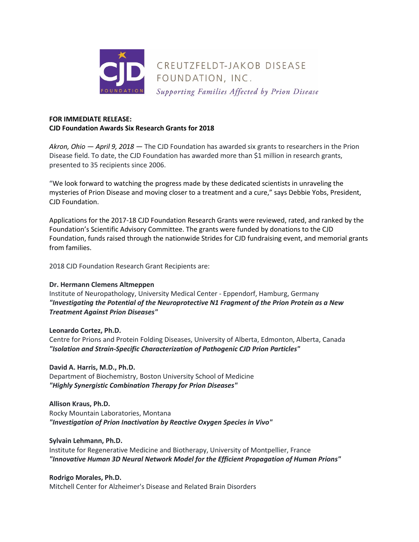

# **FOR IMMEDIATE RELEASE: CJD Foundation Awards Six Research Grants for 2018**

*Akron, Ohio — April 9, 2018 —* The CJD Foundation has awarded six grants to researchers in the Prion Disease field. To date, the CJD Foundation has awarded more than \$1 million in research grants, presented to 35 recipients since 2006.

"We look forward to watching the progress made by these dedicated scientists in unraveling the mysteries of Prion Disease and moving closer to a treatment and a cure," says Debbie Yobs, President, CJD Foundation.

Applications for the 2017-18 CJD Foundation Research Grants were reviewed, rated, and ranked by the Foundation's Scientific Advisory Committee. The grants were funded by donations to the CJD Foundation, funds raised through the nationwide Strides for CJD fundraising event, and memorial grants from families.

2018 CJD Foundation Research Grant Recipients are:

### **Dr. Hermann Clemens Altmeppen**

Institute of Neuropathology, University Medical Center - Eppendorf, Hamburg, Germany *"Investigating the Potential of the Neuroprotective N1 Fragment of the Prion Protein as a New Treatment Against Prion Diseases"*

### **Leonardo Cortez, Ph.D.**

Centre for Prions and Protein Folding Diseases, University of Alberta, Edmonton, Alberta, Canada *"Isolation and Strain-Specific Characterization of Pathogenic CJD Prion Particles"*

### **David A. Harris, M.D., Ph.D.**

Department of Biochemistry, Boston University School of Medicine *"Highly Synergistic Combination Therapy for Prion Diseases"*

### **Allison Kraus, Ph.D.**

Rocky Mountain Laboratories, Montana *"Investigation of Prion Inactivation by Reactive Oxygen Species in Vivo"*

### **Sylvain Lehmann, Ph.D.**

Institute for Regenerative Medicine and Biotherapy, University of Montpellier, France *"Innovative Human 3D Neural Network Model for the Efficient Propagation of Human Prions"*

### **Rodrigo Morales, Ph.D.**

Mitchell Center for Alzheimer's Disease and Related Brain Disorders